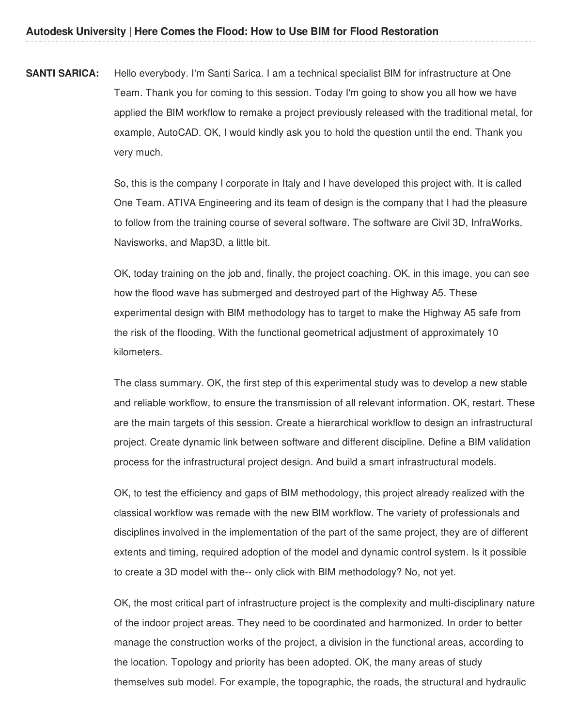**SANTI SARICA:** Hello everybody. I'm Santi Sarica. I am a technical specialist BIM for infrastructure at One Team. Thank you for coming to this session. Today I'm going to show you all how we have applied the BIM workflow to remake a project previously released with the traditional metal, for example, AutoCAD. OK, I would kindly ask you to hold the question until the end. Thank you very much.

> So, this is the company I corporate in Italy and I have developed this project with. It is called One Team. ATIVA Engineering and its team of design is the company that I had the pleasure to follow from the training course of several software. The software are Civil 3D, InfraWorks, Navisworks, and Map3D, a little bit.

> OK, today training on the job and, finally, the project coaching. OK, in this image, you can see how the flood wave has submerged and destroyed part of the Highway A5. These experimental design with BIM methodology has to target to make the Highway A5 safe from the risk of the flooding. With the functional geometrical adjustment of approximately 10 kilometers.

The class summary. OK, the first step of this experimental study was to develop a new stable and reliable workflow, to ensure the transmission of all relevant information. OK, restart. These are the main targets of this session. Create a hierarchical workflow to design an infrastructural project. Create dynamic link between software and different discipline. Define a BIM validation process for the infrastructural project design. And build a smart infrastructural models.

OK, to test the efficiency and gaps of BIM methodology, this project already realized with the classical workflow was remade with the new BIM workflow. The variety of professionals and disciplines involved in the implementation of the part of the same project, they are of different extents and timing, required adoption of the model and dynamic control system. Is it possible to create a 3D model with the-- only click with BIM methodology? No, not yet.

OK, the most critical part of infrastructure project is the complexity and multi-disciplinary nature of the indoor project areas. They need to be coordinated and harmonized. In order to better manage the construction works of the project, a division in the functional areas, according to the location. Topology and priority has been adopted. OK, the many areas of study themselves sub model. For example, the topographic, the roads, the structural and hydraulic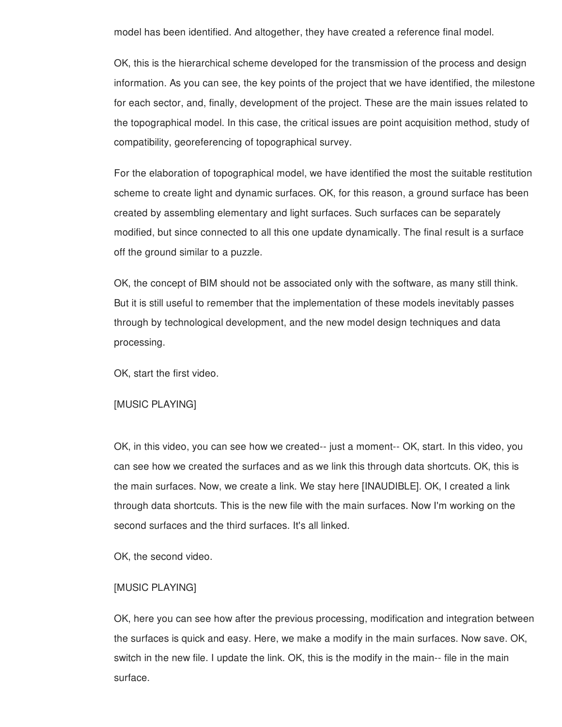model has been identified. And altogether, they have created a reference final model.

OK, this is the hierarchical scheme developed for the transmission of the process and design information. As you can see, the key points of the project that we have identified, the milestone for each sector, and, finally, development of the project. These are the main issues related to the topographical model. In this case, the critical issues are point acquisition method, study of compatibility, georeferencing of topographical survey.

For the elaboration of topographical model, we have identified the most the suitable restitution scheme to create light and dynamic surfaces. OK, for this reason, a ground surface has been created by assembling elementary and light surfaces. Such surfaces can be separately modified, but since connected to all this one update dynamically. The final result is a surface off the ground similar to a puzzle.

OK, the concept of BIM should not be associated only with the software, as many still think. But it is still useful to remember that the implementation of these models inevitably passes through by technological development, and the new model design techniques and data processing.

OK, start the first video.

### [MUSIC PLAYING]

OK, in this video, you can see how we created-- just a moment-- OK, start. In this video, you can see how we created the surfaces and as we link this through data shortcuts. OK, this is the main surfaces. Now, we create a link. We stay here [INAUDIBLE]. OK, I created a link through data shortcuts. This is the new file with the main surfaces. Now I'm working on the second surfaces and the third surfaces. It's all linked.

OK, the second video.

## [MUSIC PLAYING]

OK, here you can see how after the previous processing, modification and integration between the surfaces is quick and easy. Here, we make a modify in the main surfaces. Now save. OK, switch in the new file. I update the link. OK, this is the modify in the main-- file in the main surface.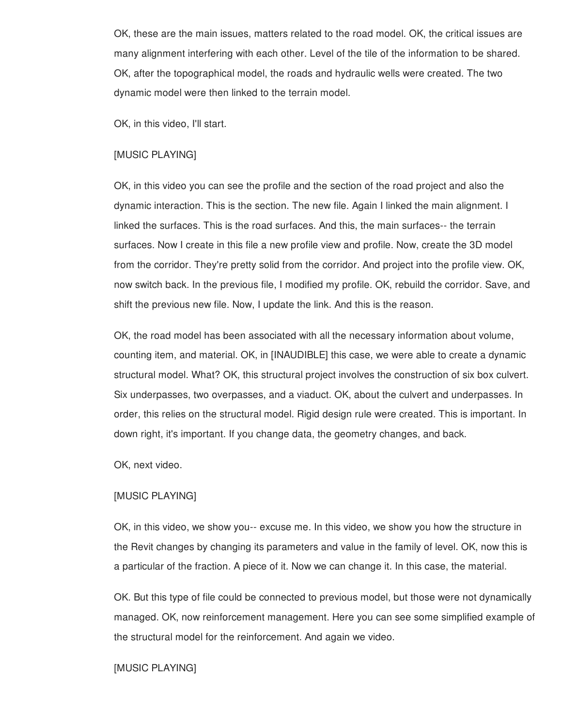OK, these are the main issues, matters related to the road model. OK, the critical issues are many alignment interfering with each other. Level of the tile of the information to be shared. OK, after the topographical model, the roads and hydraulic wells were created. The two dynamic model were then linked to the terrain model.

OK, in this video, I'll start.

## [MUSIC PLAYING]

OK, in this video you can see the profile and the section of the road project and also the dynamic interaction. This is the section. The new file. Again I linked the main alignment. I linked the surfaces. This is the road surfaces. And this, the main surfaces-- the terrain surfaces. Now I create in this file a new profile view and profile. Now, create the 3D model from the corridor. They're pretty solid from the corridor. And project into the profile view. OK, now switch back. In the previous file, I modified my profile. OK, rebuild the corridor. Save, and shift the previous new file. Now, I update the link. And this is the reason.

OK, the road model has been associated with all the necessary information about volume, counting item, and material. OK, in [INAUDIBLE] this case, we were able to create a dynamic structural model. What? OK, this structural project involves the construction of six box culvert. Six underpasses, two overpasses, and a viaduct. OK, about the culvert and underpasses. In order, this relies on the structural model. Rigid design rule were created. This is important. In down right, it's important. If you change data, the geometry changes, and back.

OK, next video.

### [MUSIC PLAYING]

OK, in this video, we show you-- excuse me. In this video, we show you how the structure in the Revit changes by changing its parameters and value in the family of level. OK, now this is a particular of the fraction. A piece of it. Now we can change it. In this case, the material.

OK. But this type of file could be connected to previous model, but those were not dynamically managed. OK, now reinforcement management. Here you can see some simplified example of the structural model for the reinforcement. And again we video.

### [MUSIC PLAYING]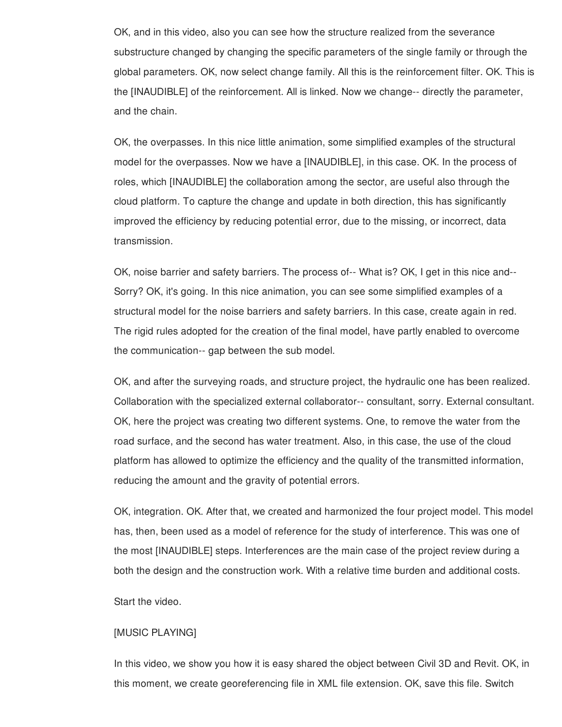OK, and in this video, also you can see how the structure realized from the severance substructure changed by changing the specific parameters of the single family or through the global parameters. OK, now select change family. All this is the reinforcement filter. OK. This is the [INAUDIBLE] of the reinforcement. All is linked. Now we change-- directly the parameter, and the chain.

OK, the overpasses. In this nice little animation, some simplified examples of the structural model for the overpasses. Now we have a [INAUDIBLE], in this case. OK. In the process of roles, which [INAUDIBLE] the collaboration among the sector, are useful also through the cloud platform. To capture the change and update in both direction, this has significantly improved the efficiency by reducing potential error, due to the missing, or incorrect, data transmission.

OK, noise barrier and safety barriers. The process of-- What is? OK, I get in this nice and-- Sorry? OK, it's going. In this nice animation, you can see some simplified examples of a structural model for the noise barriers and safety barriers. In this case, create again in red. The rigid rules adopted for the creation of the final model, have partly enabled to overcome the communication-- gap between the sub model.

OK, and after the surveying roads, and structure project, the hydraulic one has been realized. Collaboration with the specialized external collaborator-- consultant, sorry. External consultant. OK, here the project was creating two different systems. One, to remove the water from the road surface, and the second has water treatment. Also, in this case, the use of the cloud platform has allowed to optimize the efficiency and the quality of the transmitted information, reducing the amount and the gravity of potential errors.

OK, integration. OK. After that, we created and harmonized the four project model. This model has, then, been used as a model of reference for the study of interference. This was one of the most [INAUDIBLE] steps. Interferences are the main case of the project review during a both the design and the construction work. With a relative time burden and additional costs.

Start the video.

## [MUSIC PLAYING]

In this video, we show you how it is easy shared the object between Civil 3D and Revit. OK, in this moment, we create georeferencing file in XML file extension. OK, save this file. Switch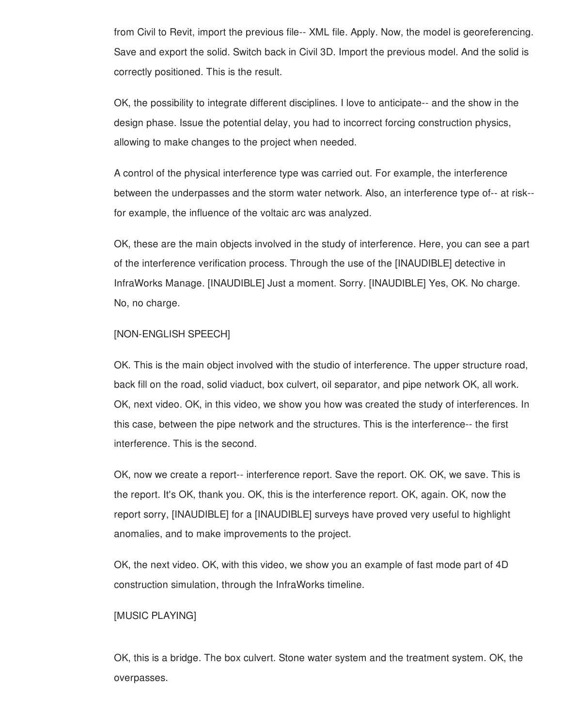from Civil to Revit, import the previous file-- XML file. Apply. Now, the model is georeferencing. Save and export the solid. Switch back in Civil 3D. Import the previous model. And the solid is correctly positioned. This is the result.

OK, the possibility to integrate different disciplines. I love to anticipate-- and the show in the design phase. Issue the potential delay, you had to incorrect forcing construction physics, allowing to make changes to the project when needed.

A control of the physical interference type was carried out. For example, the interference between the underpasses and the storm water network. Also, an interference type of-- at risk- for example, the influence of the voltaic arc was analyzed.

OK, these are the main objects involved in the study of interference. Here, you can see a part of the interference verification process. Through the use of the [INAUDIBLE] detective in InfraWorks Manage. [INAUDIBLE] Just a moment. Sorry. [INAUDIBLE] Yes, OK. No charge. No, no charge.

### [NON-ENGLISH SPEECH]

OK. This is the main object involved with the studio of interference. The upper structure road, back fill on the road, solid viaduct, box culvert, oil separator, and pipe network OK, all work. OK, next video. OK, in this video, we show you how was created the study of interferences. In this case, between the pipe network and the structures. This is the interference-- the first interference. This is the second.

OK, now we create a report-- interference report. Save the report. OK. OK, we save. This is the report. It's OK, thank you. OK, this is the interference report. OK, again. OK, now the report sorry, [INAUDIBLE] for a [INAUDIBLE] surveys have proved very useful to highlight anomalies, and to make improvements to the project.

OK, the next video. OK, with this video, we show you an example of fast mode part of 4D construction simulation, through the InfraWorks timeline.

# [MUSIC PLAYING]

OK, this is a bridge. The box culvert. Stone water system and the treatment system. OK, the overpasses.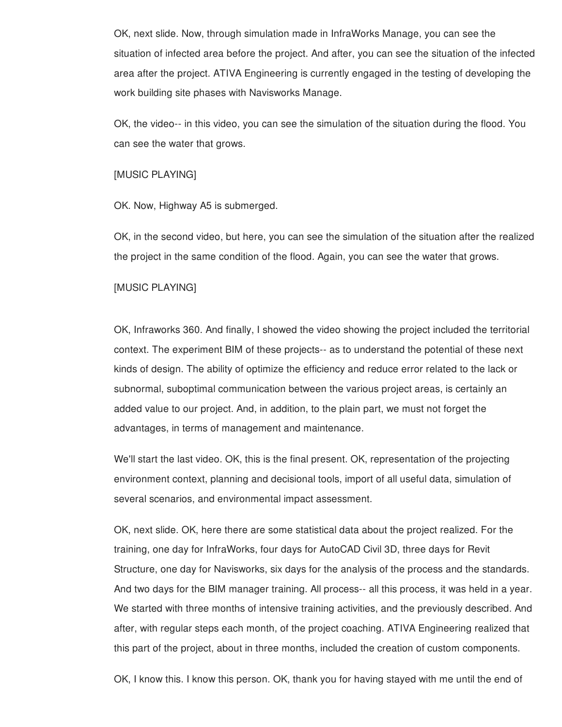OK, next slide. Now, through simulation made in InfraWorks Manage, you can see the situation of infected area before the project. And after, you can see the situation of the infected area after the project. ATIVA Engineering is currently engaged in the testing of developing the work building site phases with Navisworks Manage.

OK, the video-- in this video, you can see the simulation of the situation during the flood. You can see the water that grows.

#### [MUSIC PLAYING]

OK. Now, Highway A5 is submerged.

OK, in the second video, but here, you can see the simulation of the situation after the realized the project in the same condition of the flood. Again, you can see the water that grows.

## [MUSIC PLAYING]

OK, Infraworks 360. And finally, I showed the video showing the project included the territorial context. The experiment BIM of these projects-- as to understand the potential of these next kinds of design. The ability of optimize the efficiency and reduce error related to the lack or subnormal, suboptimal communication between the various project areas, is certainly an added value to our project. And, in addition, to the plain part, we must not forget the advantages, in terms of management and maintenance.

We'll start the last video. OK, this is the final present. OK, representation of the projecting environment context, planning and decisional tools, import of all useful data, simulation of several scenarios, and environmental impact assessment.

OK, next slide. OK, here there are some statistical data about the project realized. For the training, one day for InfraWorks, four days for AutoCAD Civil 3D, three days for Revit Structure, one day for Navisworks, six days for the analysis of the process and the standards. And two days for the BIM manager training. All process-- all this process, it was held in a year. We started with three months of intensive training activities, and the previously described. And after, with regular steps each month, of the project coaching. ATIVA Engineering realized that this part of the project, about in three months, included the creation of custom components.

OK, I know this. I know this person. OK, thank you for having stayed with me until the end of